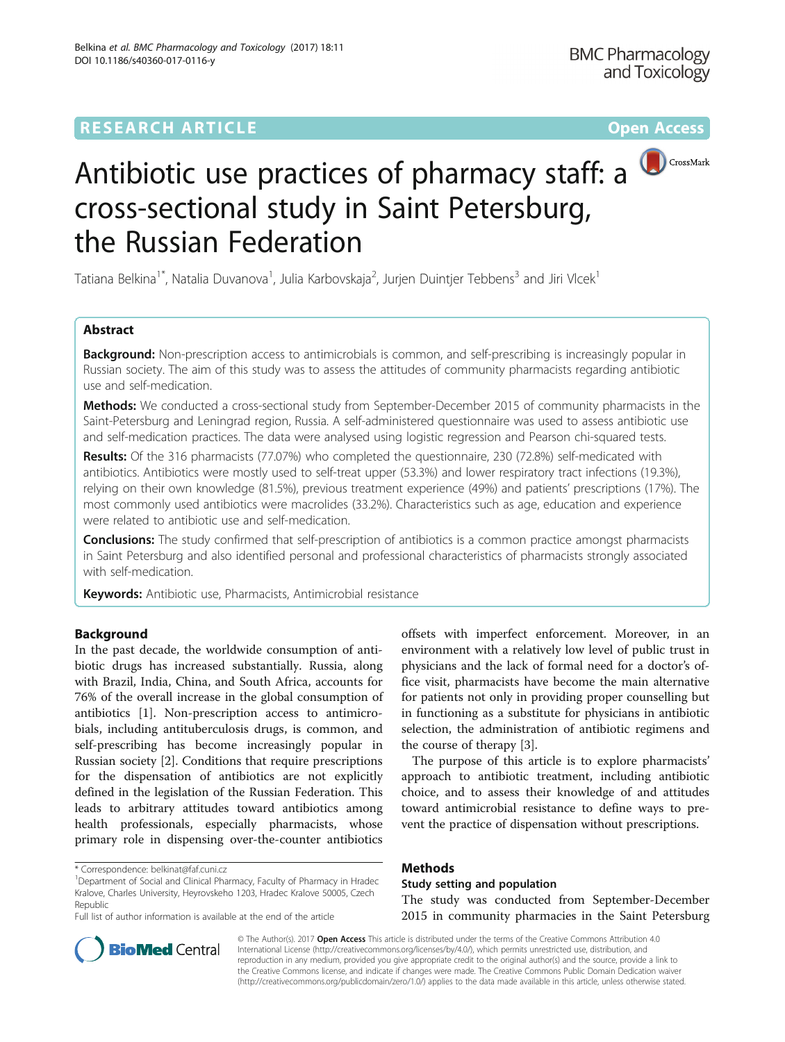## **RESEARCH ARTICLE Example 2014 12:30 The Contract of Contract ACCESS**



# Antibiotic use practices of pharmacy staff: a cross-sectional study in Saint Petersburg, the Russian Federation

Tatiana Belkina $^{\text{1*}}$ , Natalia Duvanova $^{\text{1}}$ , Julia Karbovskaja $^{\text{2}}$ , Jurjen Duintjer Tebbens $^{\text{3}}$  and Jiri Vlcek $^{\text{1}}$ 

## Abstract

**Background:** Non-prescription access to antimicrobials is common, and self-prescribing is increasingly popular in Russian society. The aim of this study was to assess the attitudes of community pharmacists regarding antibiotic use and self-medication.

**Methods:** We conducted a cross-sectional study from September-December 2015 of community pharmacists in the Saint-Petersburg and Leningrad region, Russia. A self-administered questionnaire was used to assess antibiotic use and self-medication practices. The data were analysed using logistic regression and Pearson chi-squared tests.

Results: Of the 316 pharmacists (77.07%) who completed the questionnaire, 230 (72.8%) self-medicated with antibiotics. Antibiotics were mostly used to self-treat upper (53.3%) and lower respiratory tract infections (19.3%), relying on their own knowledge (81.5%), previous treatment experience (49%) and patients' prescriptions (17%). The most commonly used antibiotics were macrolides (33.2%). Characteristics such as age, education and experience were related to antibiotic use and self-medication.

**Conclusions:** The study confirmed that self-prescription of antibiotics is a common practice amongst pharmacists in Saint Petersburg and also identified personal and professional characteristics of pharmacists strongly associated with self-medication.

Keywords: Antibiotic use, Pharmacists, Antimicrobial resistance

## Background

In the past decade, the worldwide consumption of antibiotic drugs has increased substantially. Russia, along with Brazil, India, China, and South Africa, accounts for 76% of the overall increase in the global consumption of antibiotics [\[1](#page-4-0)]. Non-prescription access to antimicrobials, including antituberculosis drugs, is common, and self-prescribing has become increasingly popular in Russian society [[2\]](#page-4-0). Conditions that require prescriptions for the dispensation of antibiotics are not explicitly defined in the legislation of the Russian Federation. This leads to arbitrary attitudes toward antibiotics among health professionals, especially pharmacists, whose primary role in dispensing over-the-counter antibiotics

<sup>1</sup>Department of Social and Clinical Pharmacy, Faculty of Pharmacy in Hradec Kralove, Charles University, Heyrovskeho 1203, Hradec Kralove 50005, Czech Republic

Full list of author information is available at the end of the article

offsets with imperfect enforcement. Moreover, in an environment with a relatively low level of public trust in physicians and the lack of formal need for a doctor's office visit, pharmacists have become the main alternative for patients not only in providing proper counselling but in functioning as a substitute for physicians in antibiotic selection, the administration of antibiotic regimens and the course of therapy [[3\]](#page-4-0).

The purpose of this article is to explore pharmacists' approach to antibiotic treatment, including antibiotic choice, and to assess their knowledge of and attitudes toward antimicrobial resistance to define ways to prevent the practice of dispensation without prescriptions.

## Methods

## Study setting and population

The study was conducted from September-December 2015 in community pharmacies in the Saint Petersburg



© The Author(s). 2017 **Open Access** This article is distributed under the terms of the Creative Commons Attribution 4.0 International License [\(http://creativecommons.org/licenses/by/4.0/](http://creativecommons.org/licenses/by/4.0/)), which permits unrestricted use, distribution, and reproduction in any medium, provided you give appropriate credit to the original author(s) and the source, provide a link to the Creative Commons license, and indicate if changes were made. The Creative Commons Public Domain Dedication waiver [\(http://creativecommons.org/publicdomain/zero/1.0/](http://creativecommons.org/publicdomain/zero/1.0/)) applies to the data made available in this article, unless otherwise stated.

<sup>\*</sup> Correspondence: [belkinat@faf.cuni.cz](mailto:belkinat@faf.cuni.cz) <sup>1</sup>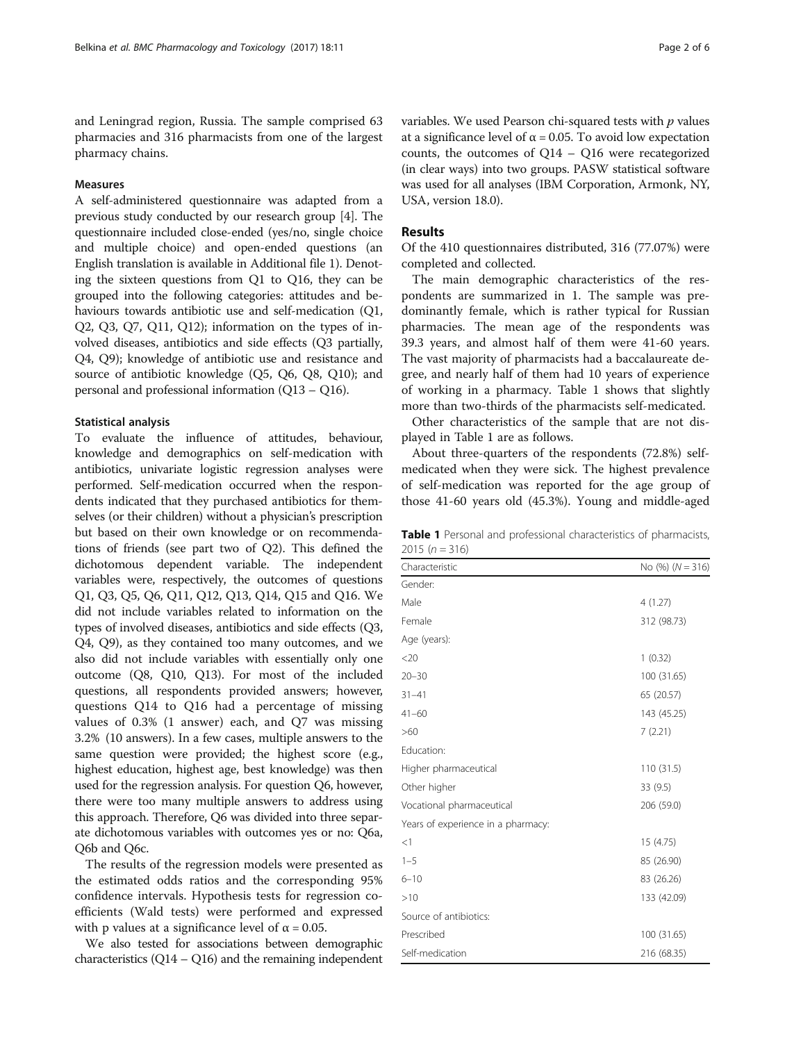and Leningrad region, Russia. The sample comprised 63 pharmacies and 316 pharmacists from one of the largest pharmacy chains.

## Measures

A self-administered questionnaire was adapted from a previous study conducted by our research group [\[4](#page-4-0)]. The questionnaire included close-ended (yes/no, single choice and multiple choice) and open-ended questions (an English translation is available in Additional file [1](#page-4-0)). Denoting the sixteen questions from Q1 to Q16, they can be grouped into the following categories: attitudes and behaviours towards antibiotic use and self-medication (Q1, Q2, Q3, Q7, Q11, Q12); information on the types of involved diseases, antibiotics and side effects (Q3 partially, Q4, Q9); knowledge of antibiotic use and resistance and source of antibiotic knowledge (Q5, Q6, Q8, Q10); and personal and professional information (Q13 – Q16).

### Statistical analysis

To evaluate the influence of attitudes, behaviour, knowledge and demographics on self-medication with antibiotics, univariate logistic regression analyses were performed. Self-medication occurred when the respondents indicated that they purchased antibiotics for themselves (or their children) without a physician's prescription but based on their own knowledge or on recommendations of friends (see part two of Q2). This defined the dichotomous dependent variable. The independent variables were, respectively, the outcomes of questions Q1, Q3, Q5, Q6, Q11, Q12, Q13, Q14, Q15 and Q16. We did not include variables related to information on the types of involved diseases, antibiotics and side effects (Q3, Q4, Q9), as they contained too many outcomes, and we also did not include variables with essentially only one outcome (Q8, Q10, Q13). For most of the included questions, all respondents provided answers; however, questions Q14 to Q16 had a percentage of missing values of 0.3% (1 answer) each, and Q7 was missing 3.2% (10 answers). In a few cases, multiple answers to the same question were provided; the highest score (e.g., highest education, highest age, best knowledge) was then used for the regression analysis. For question Q6, however, there were too many multiple answers to address using this approach. Therefore, Q6 was divided into three separate dichotomous variables with outcomes yes or no: Q6a, Q6b and Q6c.

The results of the regression models were presented as the estimated odds ratios and the corresponding 95% confidence intervals. Hypothesis tests for regression coefficients (Wald tests) were performed and expressed with p values at a significance level of  $\alpha$  = 0.05.

We also tested for associations between demographic characteristics  $(Q14 - Q16)$  and the remaining independent variables. We used Pearson chi-squared tests with  $p$  values at a significance level of  $\alpha$  = 0.05. To avoid low expectation counts, the outcomes of Q14 – Q16 were recategorized (in clear ways) into two groups. PASW statistical software was used for all analyses (IBM Corporation, Armonk, NY, USA, version 18.0).

## Results

Of the 410 questionnaires distributed, 316 (77.07%) were completed and collected.

The main demographic characteristics of the respondents are summarized in 1. The sample was predominantly female, which is rather typical for Russian pharmacies. The mean age of the respondents was 39.3 years, and almost half of them were 41-60 years. The vast majority of pharmacists had a baccalaureate degree, and nearly half of them had 10 years of experience of working in a pharmacy. Table 1 shows that slightly more than two-thirds of the pharmacists self-medicated.

Other characteristics of the sample that are not displayed in Table 1 are as follows.

About three-quarters of the respondents (72.8%) selfmedicated when they were sick. The highest prevalence of self-medication was reported for the age group of those 41-60 years old (45.3%). Young and middle-aged

| <b>Table 1</b> Personal and professional characteristics of pharmacists, |  |  |
|--------------------------------------------------------------------------|--|--|
| $2015(n=316)$                                                            |  |  |

| Characteristic                     | No $(%) (N = 316)$ |
|------------------------------------|--------------------|
| Gender:                            |                    |
| Male                               | 4(1.27)            |
| Female                             | 312 (98.73)        |
| Age (years):                       |                    |
| $<$ 20                             | 1(0.32)            |
| $20 - 30$                          | 100 (31.65)        |
| $31 - 41$                          | 65 (20.57)         |
| $41 - 60$                          | 143 (45.25)        |
| >60                                | 7(2.21)            |
| Education:                         |                    |
| Higher pharmaceutical              | 110(31.5)          |
| Other higher                       | 33 (9.5)           |
| Vocational pharmaceutical          | 206 (59.0)         |
| Years of experience in a pharmacy: |                    |
| <1                                 | 15 (4.75)          |
| $1 - 5$                            | 85 (26.90)         |
| $6 - 10$                           | 83 (26.26)         |
| >10                                | 133 (42.09)        |
| Source of antibiotics:             |                    |
| Prescribed                         | 100 (31.65)        |
| Self-medication                    | 216 (68.35)        |
|                                    |                    |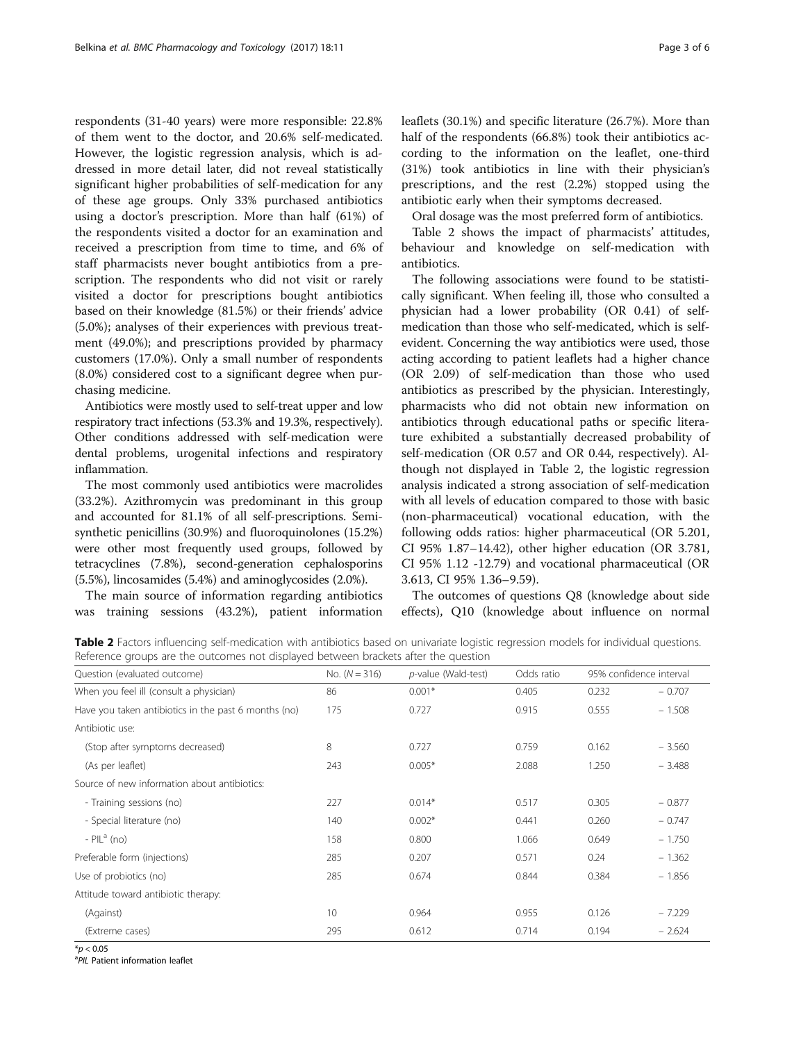respondents (31-40 years) were more responsible: 22.8% of them went to the doctor, and 20.6% self-medicated. However, the logistic regression analysis, which is addressed in more detail later, did not reveal statistically significant higher probabilities of self-medication for any of these age groups. Only 33% purchased antibiotics using a doctor's prescription. More than half (61%) of the respondents visited a doctor for an examination and received a prescription from time to time, and 6% of staff pharmacists never bought antibiotics from a prescription. The respondents who did not visit or rarely visited a doctor for prescriptions bought antibiotics based on their knowledge (81.5%) or their friends' advice (5.0%); analyses of their experiences with previous treatment (49.0%); and prescriptions provided by pharmacy customers (17.0%). Only a small number of respondents (8.0%) considered cost to a significant degree when purchasing medicine.

Antibiotics were mostly used to self-treat upper and low respiratory tract infections (53.3% and 19.3%, respectively). Other conditions addressed with self-medication were dental problems, urogenital infections and respiratory inflammation.

The most commonly used antibiotics were macrolides (33.2%). Azithromycin was predominant in this group and accounted for 81.1% of all self-prescriptions. Semisynthetic penicillins (30.9%) and fluoroquinolones (15.2%) were other most frequently used groups, followed by tetracyclines (7.8%), second-generation cephalosporins (5.5%), lincosamides (5.4%) and aminoglycosides (2.0%).

The main source of information regarding antibiotics was training sessions (43.2%), patient information leaflets (30.1%) and specific literature (26.7%). More than half of the respondents (66.8%) took their antibiotics according to the information on the leaflet, one-third (31%) took antibiotics in line with their physician's prescriptions, and the rest (2.2%) stopped using the antibiotic early when their symptoms decreased.

Oral dosage was the most preferred form of antibiotics.

Table 2 shows the impact of pharmacists' attitudes, behaviour and knowledge on self-medication with antibiotics.

The following associations were found to be statistically significant. When feeling ill, those who consulted a physician had a lower probability (OR 0.41) of selfmedication than those who self-medicated, which is selfevident. Concerning the way antibiotics were used, those acting according to patient leaflets had a higher chance (OR 2.09) of self-medication than those who used antibiotics as prescribed by the physician. Interestingly, pharmacists who did not obtain new information on antibiotics through educational paths or specific literature exhibited a substantially decreased probability of self-medication (OR 0.57 and OR 0.44, respectively). Although not displayed in Table 2, the logistic regression analysis indicated a strong association of self-medication with all levels of education compared to those with basic (non-pharmaceutical) vocational education, with the following odds ratios: higher pharmaceutical (OR 5.201, CI 95% 1.87–14.42), other higher education (OR 3.781, CI 95% 1.12 -12.79) and vocational pharmaceutical (OR 3.613, CI 95% 1.36–9.59).

The outcomes of questions Q8 (knowledge about side effects), Q10 (knowledge about influence on normal

Table 2 Factors influencing self-medication with antibiotics based on univariate logistic regression models for individual questions. Reference groups are the outcomes not displayed between brackets after the question

| Question (evaluated outcome)                         | No. $(N = 316)$ | p-value (Wald-test) | Odds ratio<br>95% confidence interval |       |          |
|------------------------------------------------------|-----------------|---------------------|---------------------------------------|-------|----------|
| When you feel ill (consult a physician)              | 86              | $0.001*$            | 0.405                                 | 0.232 | $-0.707$ |
| Have you taken antibiotics in the past 6 months (no) | 175             | 0.727               | 0.915                                 | 0.555 | $-1.508$ |
| Antibiotic use:                                      |                 |                     |                                       |       |          |
| (Stop after symptoms decreased)                      | 8               | 0.727               | 0.759                                 | 0.162 | $-3.560$ |
| (As per leaflet)                                     | 243             | $0.005*$            | 2.088                                 | 1.250 | $-3.488$ |
| Source of new information about antibiotics:         |                 |                     |                                       |       |          |
| - Training sessions (no)                             | 227             | $0.014*$            | 0.517                                 | 0.305 | $-0.877$ |
| - Special literature (no)                            | 140             | $0.002*$            | 0.441                                 | 0.260 | $-0.747$ |
| $-$ PIL $a$ (no)                                     | 158             | 0.800               | 1.066                                 | 0.649 | $-1.750$ |
| Preferable form (injections)                         | 285             | 0.207               | 0.571                                 | 0.24  | $-1.362$ |
| Use of probiotics (no)                               | 285             | 0.674               | 0.844                                 | 0.384 | $-1.856$ |
| Attitude toward antibiotic therapy:                  |                 |                     |                                       |       |          |
| (Against)                                            | 10              | 0.964               | 0.955                                 | 0.126 | $-7.229$ |
| (Extreme cases)                                      | 295             | 0.612               | 0.714                                 | 0.194 | $-2.624$ |
|                                                      |                 |                     |                                       |       |          |

 $*_p$  < 0.05

<sup>a</sup>PIL Patient information leaflet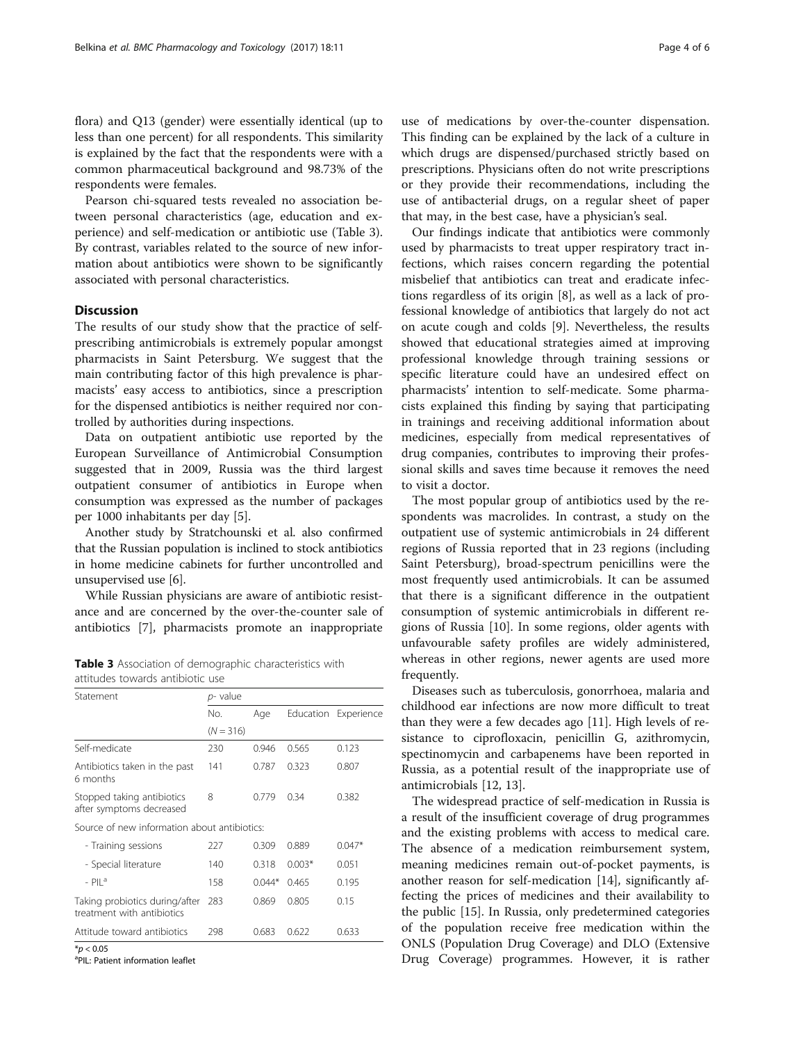flora) and Q13 (gender) were essentially identical (up to less than one percent) for all respondents. This similarity is explained by the fact that the respondents were with a common pharmaceutical background and 98.73% of the respondents were females.

Pearson chi-squared tests revealed no association between personal characteristics (age, education and experience) and self-medication or antibiotic use (Table 3). By contrast, variables related to the source of new information about antibiotics were shown to be significantly associated with personal characteristics.

## **Discussion**

The results of our study show that the practice of selfprescribing antimicrobials is extremely popular amongst pharmacists in Saint Petersburg. We suggest that the main contributing factor of this high prevalence is pharmacists' easy access to antibiotics, since a prescription for the dispensed antibiotics is neither required nor controlled by authorities during inspections.

Data on outpatient antibiotic use reported by the European Surveillance of Antimicrobial Consumption suggested that in 2009, Russia was the third largest outpatient consumer of antibiotics in Europe when consumption was expressed as the number of packages per 1000 inhabitants per day [\[5](#page-4-0)].

Another study by Stratchounski et al. also confirmed that the Russian population is inclined to stock antibiotics in home medicine cabinets for further uncontrolled and unsupervised use [\[6\]](#page-4-0).

While Russian physicians are aware of antibiotic resistance and are concerned by the over-the-counter sale of antibiotics [[7\]](#page-4-0), pharmacists promote an inappropriate

Table 3 Association of demographic characteristics with attitudes towards antibiotic use

| Statement                                                    | p- value    |          |           |            |  |  |
|--------------------------------------------------------------|-------------|----------|-----------|------------|--|--|
|                                                              | No.         | Age      | Education | Experience |  |  |
|                                                              | $(N = 316)$ |          |           |            |  |  |
| Self-medicate                                                | 230         | 0.946    | 0.565     | 0.123      |  |  |
| Antibiotics taken in the past<br>6 months                    | 141         | 0.787    | 0.323     | 0.807      |  |  |
| Stopped taking antibiotics<br>after symptoms decreased       | 8           | 0.779    | 0.34      | 0.382      |  |  |
| Source of new information about antibiotics:                 |             |          |           |            |  |  |
| - Training sessions                                          | 227         | 0.309    | 0.889     | $0.047*$   |  |  |
| - Special literature                                         | 140         | 0.318    | $0.003*$  | 0.051      |  |  |
| - PII <sup>a</sup>                                           | 158         | $0.044*$ | 0.465     | 0.195      |  |  |
| Taking probiotics during/after<br>treatment with antibiotics | 283         | 0.869    | 0.805     | 0.15       |  |  |
| Attitude toward antibiotics                                  | 298         | 0.683    | 0.622     | 0.633      |  |  |
| $*$ n < 0.05                                                 |             |          |           |            |  |  |

 $^*\!p$  < 0.05<br><sup>a</sup>PIL: Patient information leaflet

use of medications by over-the-counter dispensation. This finding can be explained by the lack of a culture in which drugs are dispensed/purchased strictly based on prescriptions. Physicians often do not write prescriptions or they provide their recommendations, including the use of antibacterial drugs, on a regular sheet of paper that may, in the best case, have a physician's seal.

Our findings indicate that antibiotics were commonly used by pharmacists to treat upper respiratory tract infections, which raises concern regarding the potential misbelief that antibiotics can treat and eradicate infections regardless of its origin [\[8](#page-4-0)], as well as a lack of professional knowledge of antibiotics that largely do not act on acute cough and colds [[9\]](#page-4-0). Nevertheless, the results showed that educational strategies aimed at improving professional knowledge through training sessions or specific literature could have an undesired effect on pharmacists' intention to self-medicate. Some pharmacists explained this finding by saying that participating in trainings and receiving additional information about medicines, especially from medical representatives of drug companies, contributes to improving their professional skills and saves time because it removes the need to visit a doctor.

The most popular group of antibiotics used by the respondents was macrolides. In contrast, a study on the outpatient use of systemic antimicrobials in 24 different regions of Russia reported that in 23 regions (including Saint Petersburg), broad-spectrum penicillins were the most frequently used antimicrobials. It can be assumed that there is a significant difference in the outpatient consumption of systemic antimicrobials in different regions of Russia [\[10](#page-5-0)]. In some regions, older agents with unfavourable safety profiles are widely administered, whereas in other regions, newer agents are used more frequently.

Diseases such as tuberculosis, gonorrhoea, malaria and childhood ear infections are now more difficult to treat than they were a few decades ago [[11\]](#page-5-0). High levels of resistance to ciprofloxacin, penicillin G, azithromycin, spectinomycin and carbapenems have been reported in Russia, as a potential result of the inappropriate use of antimicrobials [[12, 13](#page-5-0)].

The widespread practice of self-medication in Russia is a result of the insufficient coverage of drug programmes and the existing problems with access to medical care. The absence of a medication reimbursement system, meaning medicines remain out-of-pocket payments, is another reason for self-medication [[14\]](#page-5-0), significantly affecting the prices of medicines and their availability to the public [\[15](#page-5-0)]. In Russia, only predetermined categories of the population receive free medication within the ONLS (Population Drug Coverage) and DLO (Extensive Drug Coverage) programmes. However, it is rather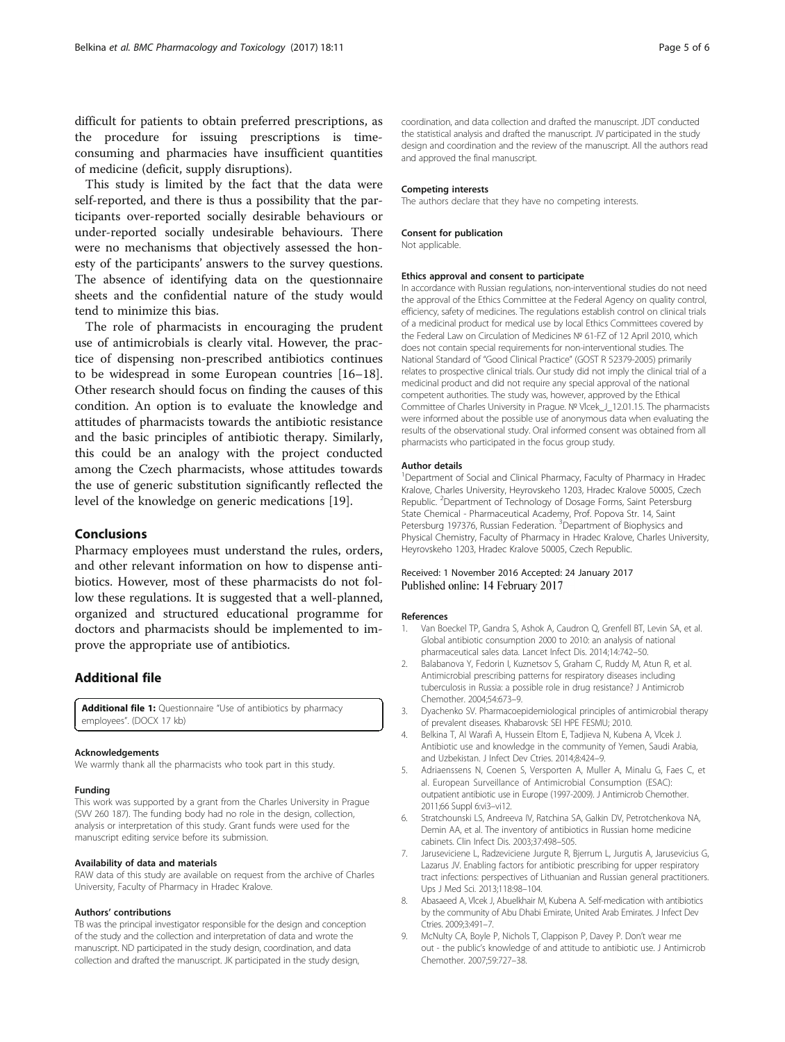<span id="page-4-0"></span>difficult for patients to obtain preferred prescriptions, as the procedure for issuing prescriptions is timeconsuming and pharmacies have insufficient quantities of medicine (deficit, supply disruptions).

This study is limited by the fact that the data were self-reported, and there is thus a possibility that the participants over-reported socially desirable behaviours or under-reported socially undesirable behaviours. There were no mechanisms that objectively assessed the honesty of the participants' answers to the survey questions. The absence of identifying data on the questionnaire sheets and the confidential nature of the study would tend to minimize this bias.

The role of pharmacists in encouraging the prudent use of antimicrobials is clearly vital. However, the practice of dispensing non-prescribed antibiotics continues to be widespread in some European countries [[16](#page-5-0)–[18](#page-5-0)]. Other research should focus on finding the causes of this condition. An option is to evaluate the knowledge and attitudes of pharmacists towards the antibiotic resistance and the basic principles of antibiotic therapy. Similarly, this could be an analogy with the project conducted among the Czech pharmacists, whose attitudes towards the use of generic substitution significantly reflected the level of the knowledge on generic medications [[19](#page-5-0)].

## Conclusions

Pharmacy employees must understand the rules, orders, and other relevant information on how to dispense antibiotics. However, most of these pharmacists do not follow these regulations. It is suggested that a well-planned, organized and structured educational programme for doctors and pharmacists should be implemented to improve the appropriate use of antibiotics.

## Additional file

[Additional file 1:](dx.doi.org/10.1186/s40360-017-0116-y) Questionnaire "Use of antibiotics by pharmacy employees". (DOCX 17 kb)

#### Acknowledgements

We warmly thank all the pharmacists who took part in this study.

#### Funding

This work was supported by a grant from the Charles University in Prague (SVV 260 187). The funding body had no role in the design, collection, analysis or interpretation of this study. Grant funds were used for the manuscript editing service before its submission.

#### Availability of data and materials

RAW data of this study are available on request from the archive of Charles University, Faculty of Pharmacy in Hradec Kralove.

#### Authors' contributions

TB was the principal investigator responsible for the design and conception of the study and the collection and interpretation of data and wrote the manuscript. ND participated in the study design, coordination, and data collection and drafted the manuscript. JK participated in the study design,

#### Competing interests

The authors declare that they have no competing interests.

#### Consent for publication

Not applicable.

#### Ethics approval and consent to participate

In accordance with Russian regulations, non-interventional studies do not need the approval of the Ethics Committee at the Federal Agency on quality control, efficiency, safety of medicines. The regulations establish control on clinical trials of a medicinal product for medical use by local Ethics Committees covered by the Federal Law on Circulation of Medicines № 61-FZ of 12 April 2010, which does not contain special requirements for non-interventional studies. The National Standard of "Good Clinical Practice" (GOST R 52379-2005) primarily relates to prospective clinical trials. Our study did not imply the clinical trial of a medicinal product and did not require any special approval of the national competent authorities. The study was, however, approved by the Ethical Committee of Charles University in Prague. № Vlcek\_J\_12.01.15. The pharmacists were informed about the possible use of anonymous data when evaluating the results of the observational study. Oral informed consent was obtained from all pharmacists who participated in the focus group study.

#### Author details

<sup>1</sup>Department of Social and Clinical Pharmacy, Faculty of Pharmacy in Hradec Kralove, Charles University, Heyrovskeho 1203, Hradec Kralove 50005, Czech Republic. <sup>2</sup>Department of Technology of Dosage Forms, Saint Petersburg State Chemical - Pharmaceutical Academy, Prof. Popova Str. 14, Saint Petersburg 197376, Russian Federation. <sup>3</sup> Department of Biophysics and Physical Chemistry, Faculty of Pharmacy in Hradec Kralove, Charles University, Heyrovskeho 1203, Hradec Kralove 50005, Czech Republic.

## Received: 1 November 2016 Accepted: 24 January 2017 Published online: 14 February 2017

#### References

- 1. Van Boeckel TP, Gandra S, Ashok A, Caudron Q, Grenfell BT, Levin SA, et al. Global antibiotic consumption 2000 to 2010: an analysis of national pharmaceutical sales data. Lancet Infect Dis. 2014;14:742–50.
- 2. Balabanova Y, Fedorin I, Kuznetsov S, Graham C, Ruddy M, Atun R, et al. Antimicrobial prescribing patterns for respiratory diseases including tuberculosis in Russia: a possible role in drug resistance? J Antimicrob Chemother. 2004;54:673–9.
- 3. Dyachenko SV. Pharmacoepidemiological principles of antimicrobial therapy of prevalent diseases. Khabarovsk: SEI HPE FESMU; 2010.
- 4. Belkina T, Al Warafi A, Hussein Eltom E, Tadjieva N, Kubena A, Vlcek J. Antibiotic use and knowledge in the community of Yemen, Saudi Arabia, and Uzbekistan. J Infect Dev Ctries. 2014;8:424–9.
- 5. Adriaenssens N, Coenen S, Versporten A, Muller A, Minalu G, Faes C, et al. European Surveillance of Antimicrobial Consumption (ESAC): outpatient antibiotic use in Europe (1997-2009). J Antimicrob Chemother. 2011;66 Suppl 6:vi3–vi12.
- 6. Stratchounski LS, Andreeva IV, Ratchina SA, Galkin DV, Petrotchenkova NA, Demin AA, et al. The inventory of antibiotics in Russian home medicine cabinets. Clin Infect Dis. 2003;37:498–505.
- Jaruseviciene L, Radzeviciene Jurgute R, Bjerrum L, Jurgutis A, Jarusevicius G, Lazarus JV. Enabling factors for antibiotic prescribing for upper respiratory tract infections: perspectives of Lithuanian and Russian general practitioners. Ups J Med Sci. 2013;118:98–104.
- 8. Abasaeed A, Vlcek J, Abuelkhair M, Kubena A. Self-medication with antibiotics by the community of Abu Dhabi Emirate, United Arab Emirates. J Infect Dev Ctries. 2009;3:491–7.
- 9. McNulty CA, Boyle P, Nichols T, Clappison P, Davey P. Don't wear me out - the public's knowledge of and attitude to antibiotic use. J Antimicrob Chemother. 2007;59:727–38.